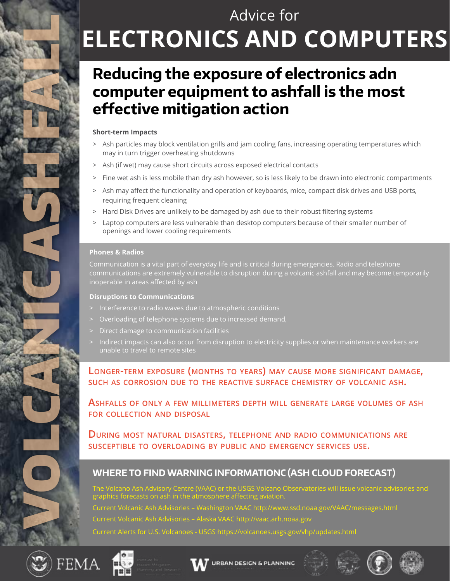# Advice for **ELECTRONICS AND COMPUTERS**

# **Reducing the exposure of electronics adn computer equipment to ashfall is the most effective mitigation action**

#### **Short-term Impacts**

- > Ash particles may block ventilation grills and jam cooling fans, increasing operating temperatures which may in turn trigger overheating shutdowns
- > Ash (if wet) may cause short circuits across exposed electrical contacts
- > Fine wet ash is less mobile than dry ash however, so is less likely to be drawn into electronic compartments
- > Ash may affect the functionality and operation of keyboards, mice, compact disk drives and USB ports, requiring frequent cleaning
- > Hard Disk Drives are unlikely to be damaged by ash due to their robust filtering systems
- Laptop computers are less vulnerable than desktop computers because of their smaller number of openings and lower cooling requirements

#### **Phones & Radios**

Communication is a vital part of everyday life and is critical during emergencies. Radio and telephone communications are extremely vulnerable to disruption during a volcanic ashfall and may become temporarily inoperable in areas affected by ash

#### **Disruptions to Communications**

- Interference to radio waves due to atmospheric conditions
- > Overloading of telephone systems due to increased demand,
- > Direct damage to communication facilities
- Indirect impacts can also occur from disruption to electricity supplies or when maintenance workers are unable to travel to remote sites

#### **Longer-term exposure (months to years) may cause more significant damage, such as corrosion due to the reactive surface chemistry of volcanic ash.**

**Ashfalls of only a few millimeters depth will generate large volumes of ash for collection and disposal**

**During most natural disasters, telephone and radio communications are susceptible to overloading by public and emergency services use.**

### **WHERE TO FIND WARNING INFORMATIONC (ASH CLOUD FORECAST)**

The Volcano Ash Advisory Centre (VAAC) or the USGS Volcano Observatories will issue volcanic advisories and graphics forecasts on ash in the atmosphere affecting aviation. Current Volcanic Ash Advisories – Washington VAAC http://www.ssd.noaa.gov/VAAC/messages.html Current Volcanic Ash Advisories – Alaska VAAC http://vaac.arh.noaa.gov Current Alerts for U.S. Volcanoes - USGS https://volcanoes.usgs.gov/vhp/updates.html



VOLCANICASH FAN 2